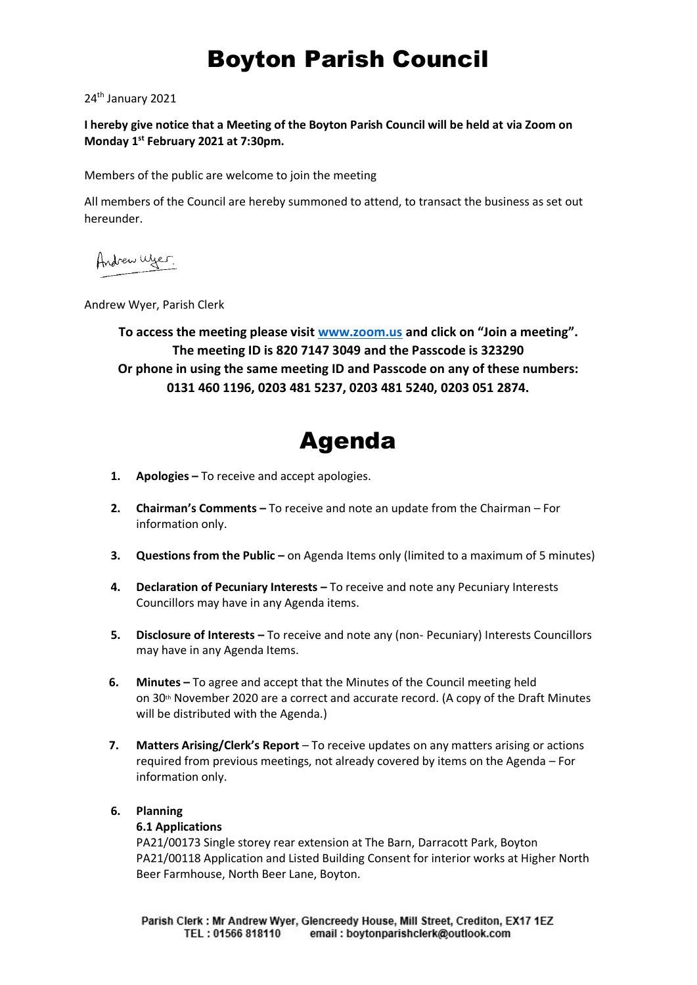## Boyton Parish Council

24<sup>th</sup> January 2021

**I hereby give notice that a Meeting of the Boyton Parish Council will be held at via Zoom on Monday 1 st February 2021 at 7:30pm.**

Members of the public are welcome to join the meeting

All members of the Council are hereby summoned to attend, to transact the business as set out hereunder.

Andrew Wyer.

Andrew Wyer, Parish Clerk

**To access the meeting please visit [www.zoom.us](http://www.zoom.us/) and click on "Join a meeting". The meeting ID is 820 7147 3049 and the Passcode is 323290 Or phone in using the same meeting ID and Passcode on any of these numbers: 0131 460 1196, 0203 481 5237, 0203 481 5240, 0203 051 2874.**

### Agenda

- **1. Apologies –** To receive and accept apologies.
- **2. Chairman's Comments –** To receive and note an update from the Chairman For information only.
- **3.** Questions from the Public on Agenda Items only (limited to a maximum of 5 minutes)
- **4. Declaration of Pecuniary Interests –** To receive and note any Pecuniary Interests Councillors may have in any Agenda items.
- **5. Disclosure of Interests –** To receive and note any (non- Pecuniary) Interests Councillors may have in any Agenda Items.
- **6. Minutes –** To agree and accept that the Minutes of the Council meeting held on  $30<sup>th</sup>$  November 2020 are a correct and accurate record. (A copy of the Draft Minutes will be distributed with the Agenda.)
- **7. Matters Arising/Clerk's Report** To receive updates on any matters arising or actions required from previous meetings, not already covered by items on the Agenda – For information only.

#### **6. Planning**

#### **6.1 Applications**

PA21/00173 Single storey rear extension at The Barn, Darracott Park, Boyton PA21/00118 Application and Listed Building Consent for interior works at Higher North Beer Farmhouse, North Beer Lane, Boyton.